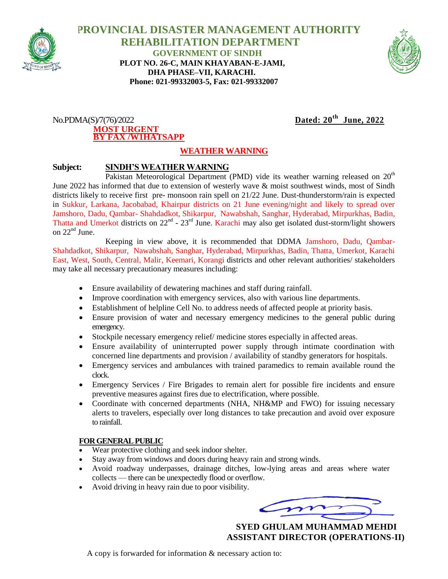

 **PROVINCIAL DISASTER MANAGEMENT AUTHORITY REHABILITATION DEPARTMENT GOVERNMENT OF SINDH PLOT NO. 26-C, MAIN KHAYABAN-E-JAMI, DHA PHASE–VII, KARACHI. Phone: 021-99332003-5, Fax: 021-99332007**



## $No.PDMA(S)/7(76)/2022$ **MOST URGENT BY FAX /W1HATSAPP**

Dated:  $20^{th}$  June, 2022

## **WEATHER WARNING**

## **Subject: SINDH'S WEATHER WARNING**

Pakistan Meteorological Department (PMD) vide its weather warning released on  $20<sup>th</sup>$ June 2022 has informed that due to extension of westerly wave & moist southwest winds, most of Sindh districts likely to receive first pre- monsoon rain spell on 21/22 June. Dust-thunderstorm/rain is expected in Sukkur, Larkana, Jacobabad, Khairpur districts on 21 June evening/night and likely to spread over Jamshoro, Dadu, Qambar- Shahdadkot, Shikarpur, Nawabshah, Sanghar, Hyderabad, Mirpurkhas, Badin, Thatta and Umerkot districts on  $22^{nd}$  -  $23^{rd}$  June. Karachi may also get isolated dust-storm/light showers on  $22<sup>nd</sup>$  June.

Keeping in view above, it is recommended that DDMA Jamshoro, Dadu, Qambar-Shahdadkot, Shikarpur, Nawabshah, Sanghar, Hyderabad, Mirpurkhas, Badin, Thatta, Umerkot, Karachi East, West, South, Central, Malir, Keemari, Korangi districts and other relevant authorities/ stakeholders may take all necessary precautionary measures including:

- Ensure availability of dewatering machines and staff during rainfall.
- Improve coordination with emergency services, also with various line departments.
- Establishment of helpline Cell No. to address needs of affected people at priority basis.
- Ensure provision of water and necessary emergency medicines to the general public during emergency.
- Stockpile necessary emergency relief/ medicine stores especially in affected areas.
- Ensure availability of uninterrupted power supply through intimate coordination with concerned line departments and provision / availability of standby generators for hospitals.
- Emergency services and ambulances with trained paramedics to remain available round the clock.
- Emergency Services / Fire Brigades to remain alert for possible fire incidents and ensure preventive measures against fires due to electrification, where possible.
- Coordinate with concerned departments (NHA, NH&MP and FWO) for issuing necessary alerts to travelers, especially over long distances to take precaution and avoid over exposure to rainfall.

## **FOR GENERAL PUBLIC**

- Wear protective clothing and seek indoor shelter.
- Stay away from windows and doors during heavy rain and strong winds.
- Avoid roadway underpasses, drainage ditches, low-lying areas and areas where water collects — there can be unexpectedly flood or overflow.
- Avoid driving in heavy rain due to poor visibility.

 **SYED GHULAM MUHAMMAD MEHDI ASSISTANT DIRECTOR (OPERATIONS-II)**

A copy is forwarded for information & necessary action to: